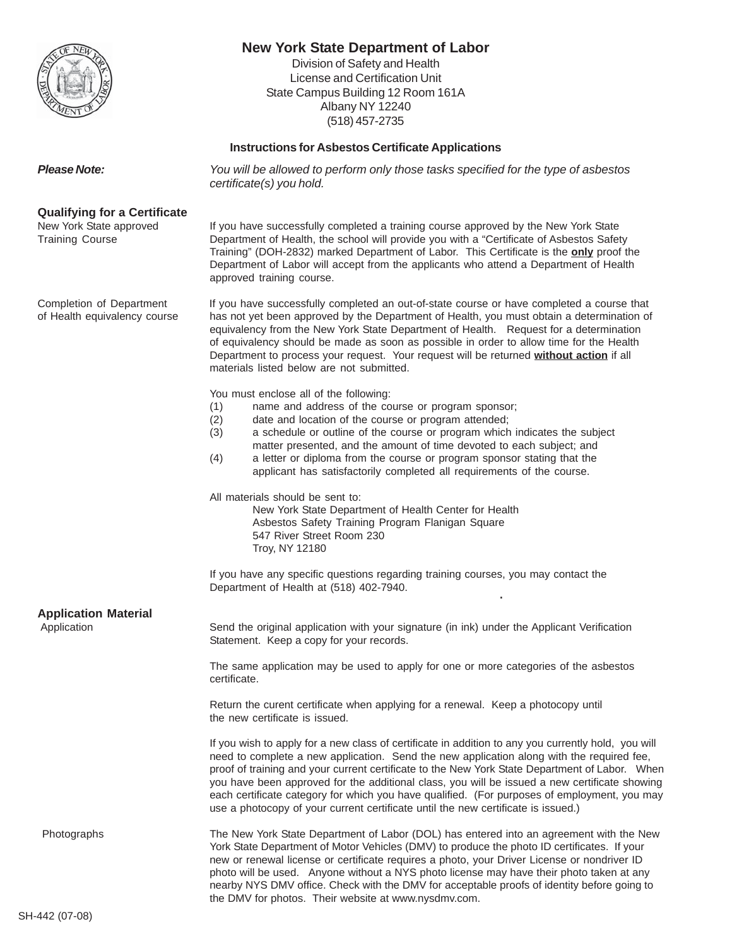

# **New York State Department of Labor**

Division of Safety and Health License and Certification Unit State Campus Building 12 Room 161A Albany NY 12240 (518) 457-2735

#### **Instructions for Asbestos Certificate Applications**

**Please Note:** You will be allowed to perform only those tasks specified for the type of asbestos certificate(s) you hold.

#### **Qualifying for a Certificate**

New York State approved If you have successfully completed a training course approved by the New York State Training Course Department of Health, the school will provide you with a "Certificate of Asbestos Safety Training" (DOH-2832) marked Department of Labor. This Certificate is the **only** proof the Department of Labor will accept from the applicants who attend a Department of Health approved training course.

Completion of Department If you have successfully completed an out-of-state course or have completed a course that of Health equivalency course has not yet been approved by the Department of Health, you must obtain a determination of equivalency from the New York State Department of Health. Request for a determination of equivalency should be made as soon as possible in order to allow time for the Health Department to process your request. Your request will be returned **without action** if all materials listed below are not submitted.

You must enclose all of the following:

- (1) name and address of the course or program sponsor;
- (2) date and location of the course or program attended;
- (3) a schedule or outline of the course or program which indicates the subject matter presented, and the amount of time devoted to each subject; and
- (4) a letter or diploma from the course or program sponsor stating that the applicant has satisfactorily completed all requirements of the course.

All materials should be sent to:

New York State Department of Health Center for Health Asbestos Safety Training Program Flanigan Square 547 River Street Room 230 Troy, NY 12180

If you have any specific questions regarding training courses, you may contact the Department of Health at (518) 402-7940. .

| <b>Application Material</b><br>Application | Send the original application with your signature (in ink) under the Applicant Verification<br>Statement. Keep a copy for your records.                                                                                                                                                                                                                                                                                                                                                                                                                                                  |  |
|--------------------------------------------|------------------------------------------------------------------------------------------------------------------------------------------------------------------------------------------------------------------------------------------------------------------------------------------------------------------------------------------------------------------------------------------------------------------------------------------------------------------------------------------------------------------------------------------------------------------------------------------|--|
|                                            | The same application may be used to apply for one or more categories of the asbestos<br>certificate.                                                                                                                                                                                                                                                                                                                                                                                                                                                                                     |  |
|                                            | Return the curent certificate when applying for a renewal. Keep a photocopy until<br>the new certificate is issued.                                                                                                                                                                                                                                                                                                                                                                                                                                                                      |  |
|                                            | If you wish to apply for a new class of certificate in addition to any you currently hold, you will<br>need to complete a new application. Send the new application along with the required fee,<br>proof of training and your current certificate to the New York State Department of Labor. When<br>you have been approved for the additional class, you will be issued a new certificate showing<br>each certificate category for which you have qualified. (For purposes of employment, you may<br>use a photocopy of your current certificate until the new certificate is issued.) |  |
| Photographs                                | The New York State Department of Labor (DOL) has entered into an agreement with the New<br>York State Department of Motor Vehicles (DMV) to produce the photo ID certificates. If your<br>new or renewal license or certificate requires a photo, your Driver License or nondriver ID<br>photo will be used. Anyone without a NYS photo license may have their photo taken at any<br>nearby NYS DMV office. Check with the DMV for acceptable proofs of identity before going to<br>the DMV for photos. Their website at www.nysdmy.com.                                                 |  |